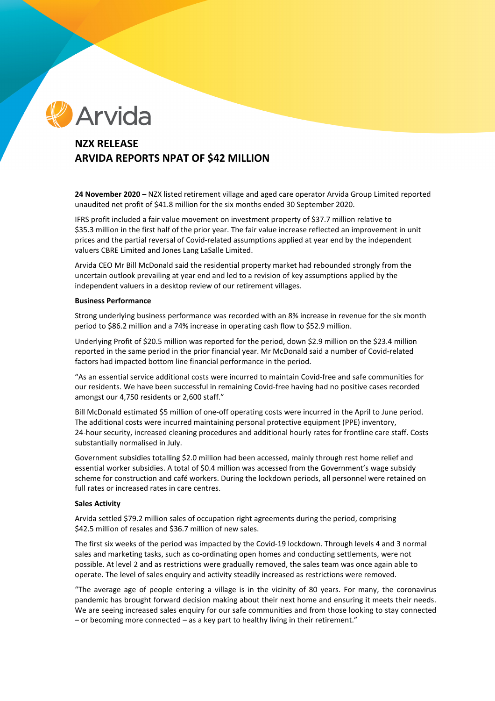

# **NZX RELEASE ARVIDA REPORTS NPAT OF \$42 MILLION**

**24 November 2020 –** NZX listed retirement village and aged care operator Arvida Group Limited reported unaudited net profit of \$41.8 million for the six months ended 30 September 2020.

IFRS profit included a fair value movement on investment property of \$37.7 million relative to \$35.3 million in the first half of the prior year. The fair value increase reflected an improvement in unit prices and the partial reversal of Covid-related assumptions applied at year end by the independent valuers CBRE Limited and Jones Lang LaSalle Limited.

Arvida CEO Mr Bill McDonald said the residential property market had rebounded strongly from the uncertain outlook prevailing at year end and led to a revision of key assumptions applied by the independent valuers in a desktop review of our retirement villages.

#### **Business Performance**

Strong underlying business performance was recorded with an 8% increase in revenue for the six month period to \$86.2 million and a 74% increase in operating cash flow to \$52.9 million.

Underlying Profit of \$20.5 million was reported for the period, down \$2.9 million on the \$23.4 million reported in the same period in the prior financial year. Mr McDonald said a number of Covid-related factors had impacted bottom line financial performance in the period.

"As an essential service additional costs were incurred to maintain Covid-free and safe communities for our residents. We have been successful in remaining Covid-free having had no positive cases recorded amongst our 4,750 residents or 2,600 staff."

Bill McDonald estimated \$5 million of one-off operating costs were incurred in the April to June period. The additional costs were incurred maintaining personal protective equipment (PPE) inventory, 24-hour security, increased cleaning procedures and additional hourly rates for frontline care staff. Costs substantially normalised in July.

Government subsidies totalling \$2.0 million had been accessed, mainly through rest home relief and essential worker subsidies. A total of \$0.4 million was accessed from the Government's wage subsidy scheme for construction and café workers. During the lockdown periods, all personnel were retained on full rates or increased rates in care centres.

#### **Sales Activity**

Arvida settled \$79.2 million sales of occupation right agreements during the period, comprising \$42.5 million of resales and \$36.7 million of new sales.

The first six weeks of the period was impacted by the Covid-19 lockdown. Through levels 4 and 3 normal sales and marketing tasks, such as co-ordinating open homes and conducting settlements, were not possible. At level 2 and as restrictions were gradually removed, the sales team was once again able to operate. The level of sales enquiry and activity steadily increased as restrictions were removed.

"The average age of people entering a village is in the vicinity of 80 years. For many, the coronavirus pandemic has brought forward decision making about their next home and ensuring it meets their needs. We are seeing increased sales enquiry for our safe communities and from those looking to stay connected – or becoming more connected – as a key part to healthy living in their retirement."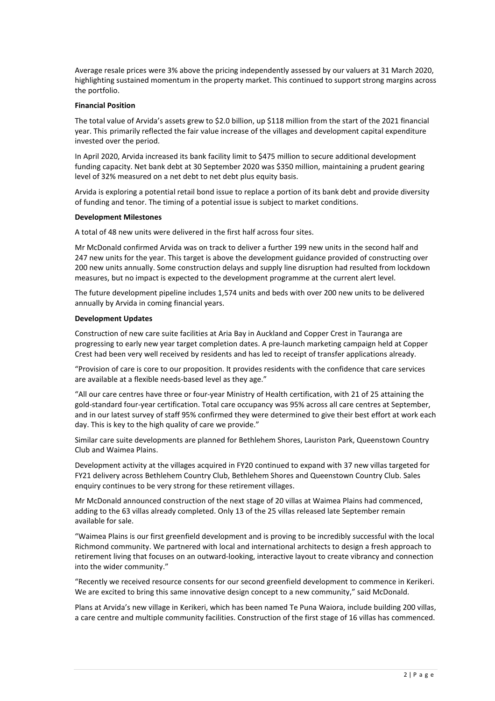Average resale prices were 3% above the pricing independently assessed by our valuers at 31 March 2020, highlighting sustained momentum in the property market. This continued to support strong margins across the portfolio.

## **Financial Position**

The total value of Arvida's assets grew to \$2.0 billion, up \$118 million from the start of the 2021 financial year. This primarily reflected the fair value increase of the villages and development capital expenditure invested over the period.

In April 2020, Arvida increased its bank facility limit to \$475 million to secure additional development funding capacity. Net bank debt at 30 September 2020 was \$350 million, maintaining a prudent gearing level of 32% measured on a net debt to net debt plus equity basis.

Arvida is exploring a potential retail bond issue to replace a portion of its bank debt and provide diversity of funding and tenor. The timing of a potential issue is subject to market conditions.

## **Development Milestones**

A total of 48 new units were delivered in the first half across four sites.

Mr McDonald confirmed Arvida was on track to deliver a further 199 new units in the second half and 247 new units for the year. This target is above the development guidance provided of constructing over 200 new units annually. Some construction delays and supply line disruption had resulted from lockdown measures, but no impact is expected to the development programme at the current alert level.

The future development pipeline includes 1,574 units and beds with over 200 new units to be delivered annually by Arvida in coming financial years.

## **Development Updates**

Construction of new care suite facilities at Aria Bay in Auckland and Copper Crest in Tauranga are progressing to early new year target completion dates. A pre-launch marketing campaign held at Copper Crest had been very well received by residents and has led to receipt of transfer applications already.

"Provision of care is core to our proposition. It provides residents with the confidence that care services are available at a flexible needs-based level as they age."

"All our care centres have three or four-year Ministry of Health certification, with 21 of 25 attaining the gold-standard four-year certification. Total care occupancy was 95% across all care centres at September, and in our latest survey of staff 95% confirmed they were determined to give their best effort at work each day. This is key to the high quality of care we provide."

Similar care suite developments are planned for Bethlehem Shores, Lauriston Park, Queenstown Country Club and Waimea Plains.

Development activity at the villages acquired in FY20 continued to expand with 37 new villas targeted for FY21 delivery across Bethlehem Country Club, Bethlehem Shores and Queenstown Country Club. Sales enquiry continues to be very strong for these retirement villages.

Mr McDonald announced construction of the next stage of 20 villas at Waimea Plains had commenced, adding to the 63 villas already completed. Only 13 of the 25 villas released late September remain available for sale.

"Waimea Plains is our first greenfield development and is proving to be incredibly successful with the local Richmond community. We partnered with local and international architects to design a fresh approach to retirement living that focuses on an outward-looking, interactive layout to create vibrancy and connection into the wider community."

"Recently we received resource consents for our second greenfield development to commence in Kerikeri. We are excited to bring this same innovative design concept to a new community," said McDonald.

Plans at Arvida's new village in Kerikeri, which has been named Te Puna Waiora, include building 200 villas, a care centre and multiple community facilities. Construction of the first stage of 16 villas has commenced.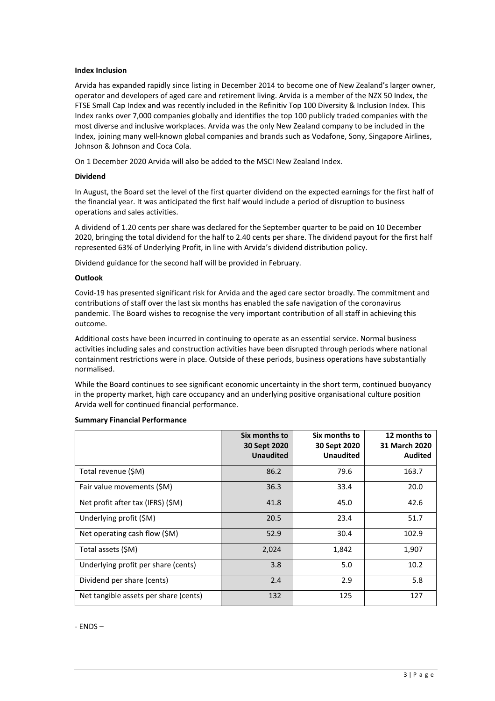## **Index Inclusion**

Arvida has expanded rapidly since listing in December 2014 to become one of New Zealand's larger owner, operator and developers of aged care and retirement living. Arvida is a member of the NZX 50 Index, the FTSE Small Cap Index and was recently included in the Refinitiv Top 100 Diversity & Inclusion Index. This Index ranks over 7,000 companies globally and identifies the top 100 publicly traded companies with the most diverse and inclusive workplaces. Arvida was the only New Zealand company to be included in the Index, joining many well-known global companies and brands such as Vodafone, Sony, Singapore Airlines, Johnson & Johnson and Coca Cola.

On 1 December 2020 Arvida will also be added to the MSCI New Zealand Index.

#### **Dividend**

In August, the Board set the level of the first quarter dividend on the expected earnings for the first half of the financial year. It was anticipated the first half would include a period of disruption to business operations and sales activities.

A dividend of 1.20 cents per share was declared for the September quarter to be paid on 10 December 2020, bringing the total dividend for the half to 2.40 cents per share. The dividend payout for the first half represented 63% of Underlying Profit, in line with Arvida's dividend distribution policy.

Dividend guidance for the second half will be provided in February.

# **Outlook**

Covid-19 has presented significant risk for Arvida and the aged care sector broadly. The commitment and contributions of staff over the last six months has enabled the safe navigation of the coronavirus pandemic. The Board wishes to recognise the very important contribution of all staff in achieving this outcome.

Additional costs have been incurred in continuing to operate as an essential service. Normal business activities including sales and construction activities have been disrupted through periods where national containment restrictions were in place. Outside of these periods, business operations have substantially normalised.

While the Board continues to see significant economic uncertainty in the short term, continued buoyancy in the property market, high care occupancy and an underlying positive organisational culture position Arvida well for continued financial performance.

|                                       | Six months to<br>30 Sept 2020<br><b>Unaudited</b> | Six months to<br>30 Sept 2020<br><b>Unaudited</b> | 12 months to<br><b>31 March 2020</b><br><b>Audited</b> |
|---------------------------------------|---------------------------------------------------|---------------------------------------------------|--------------------------------------------------------|
| Total revenue (\$M)                   | 86.2                                              | 79.6                                              | 163.7                                                  |
| Fair value movements (\$M)            | 36.3                                              | 33.4                                              | 20.0                                                   |
| Net profit after tax (IFRS) (\$M)     | 41.8                                              | 45.0                                              | 42.6                                                   |
| Underlying profit (\$M)               | 20.5                                              | 23.4                                              | 51.7                                                   |
| Net operating cash flow (\$M)         | 52.9                                              | 30.4                                              | 102.9                                                  |
| Total assets (\$M)                    | 2,024                                             | 1,842                                             | 1,907                                                  |
| Underlying profit per share (cents)   | 3.8                                               | 5.0                                               | 10.2                                                   |
| Dividend per share (cents)            | 2.4                                               | 2.9                                               | 5.8                                                    |
| Net tangible assets per share (cents) | 132                                               | 125                                               | 127                                                    |

#### **Summary Financial Performance**

- ENDS –